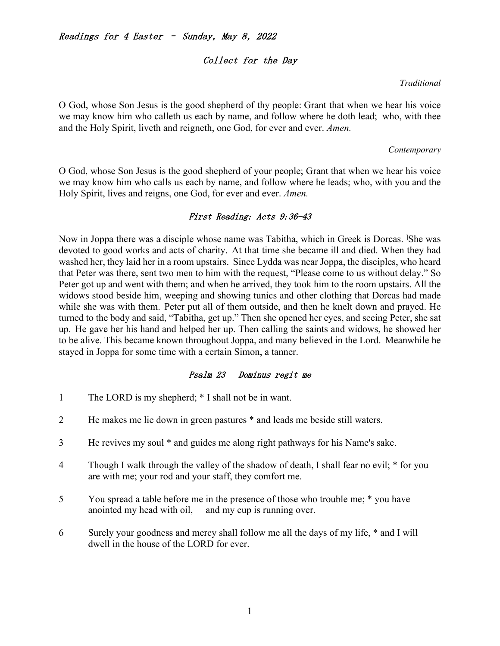# $\textit{Readings for 4 Easter}$  - Sunday, May 8, 2022

#### Collect for the Day

#### *Traditional* !

O God, whose Son Jesus is the good shepherd of thy people: Grant that when we hear his voice we may know him who calleth us each by name, and follow where he doth lead; who, with thee and the Holy Spirit, liveth and reigneth, one God, for ever and ever. *Amen.*

#### *Contemporary*

O God, whose Son Jesus is the good shepherd of your people; Grant that when we hear his voice we may know him who calls us each by name, and follow where he leads; who, with you and the Holy Spirit, lives and reigns, one God, for ever and ever. *Amen.*

## $First$   $Reading:$   $Acts$   $9:36-43$

Now in Joppa there was a disciple whose name was Tabitha, which in Greek is Dorcas. <sup>I</sup>She was devoted to good works and acts of charity. At that time she became ill and died. When they had washed her, they laid her in a room upstairs. Since Lydda was near Joppa, the disciples, who heard that Peter was there, sent two men to him with the request, "Please come to us without delay." So Peter got up and went with them; and when he arrived, they took him to the room upstairs. All the widows stood beside him, weeping and showing tunics and other clothing that Dorcas had made while she was with them. Peter put all of them outside, and then he knelt down and prayed. He turned to the body and said, "Tabitha, get up." Then she opened her eyes, and seeing Peter, she sat up. He gave her his hand and helped her up. Then calling the saints and widows, he showed her to be alive. This became known throughout Joppa, and many believed in the Lord. Meanwhile he stayed in Joppa for some time with a certain Simon, a tanner.

## Psalm 23 Dominus regit me

- 1 The LORD is my shepherd; \* I shall not be in want.
- 2 He makes me lie down in green pastures \* and leads me beside still waters.
- 3 He revives my soul \* and guides me along right pathways for his Name's sake.
- 4 Though I walk through the valley of the shadow of death, I shall fear no evil; \* for you are with me; your rod and your staff, they comfort me.
- 5 You spread a table before me in the presence of those who trouble me; \* you have anointed my head with oil, and my cup is running over.
- 6 Surely your goodness and mercy shall follow me all the days of my life, \* and I will dwell in the house of the LORD for ever.